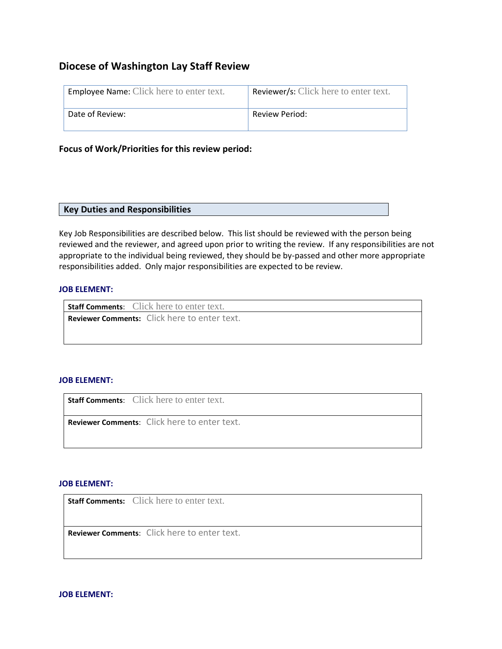# **Diocese of Washington Lay Staff Review**

| <b>Employee Name:</b> Click here to enter text. | <b>Reviewer/s:</b> Click here to enter text. |
|-------------------------------------------------|----------------------------------------------|
| Date of Review:                                 | Review Period:                               |

**Focus of Work/Priorities for this review period:** 

# **Key Duties and Responsibilities**

Key Job Responsibilities are described below. This list should be reviewed with the person being reviewed and the reviewer, and agreed upon prior to writing the review. If any responsibilities are not appropriate to the individual being reviewed, they should be by-passed and other more appropriate responsibilities added. Only major responsibilities are expected to be review.

## **JOB ELEMENT:**

| <b>Staff Comments:</b> Click here to enter text.    |
|-----------------------------------------------------|
| <b>Reviewer Comments:</b> Click here to enter text. |

## **JOB ELEMENT:**

**Staff Comments**: Click here to enter text.

**Reviewer Comments**: Click here to enter text.

#### **JOB ELEMENT:**

**Staff Comments:** Click here to enter text.

**Reviewer Comments**: Click here to enter text.

**JOB ELEMENT:**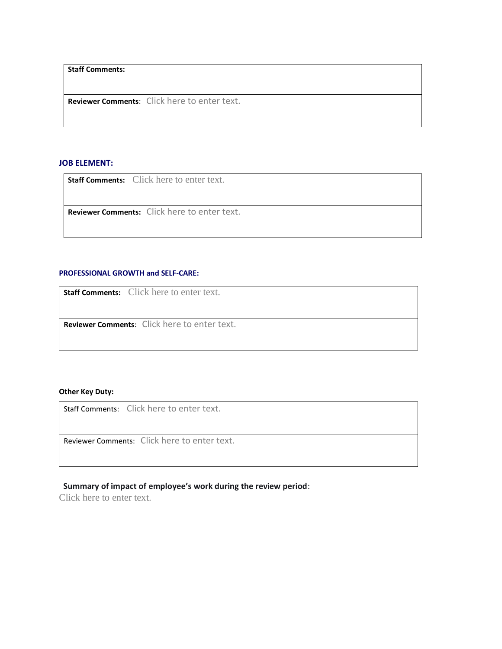**Staff Comments:**

**Reviewer Comments**: Click here to enter text.

#### **JOB ELEMENT:**

**Staff Comments:** Click here to enter text.

**Reviewer Comments:** Click here to enter text.

#### **PROFESSIONAL GROWTH and SELF-CARE:**

**Staff Comments:** Click here to enter text.

**Reviewer Comments**: Click here to enter text.

#### **Other Key Duty:**

Staff Comments: Click here to enter text.

Reviewer Comments: Click here to enter text.

#### **Summary of impact of employee's work during the review period**:

Click here to enter text.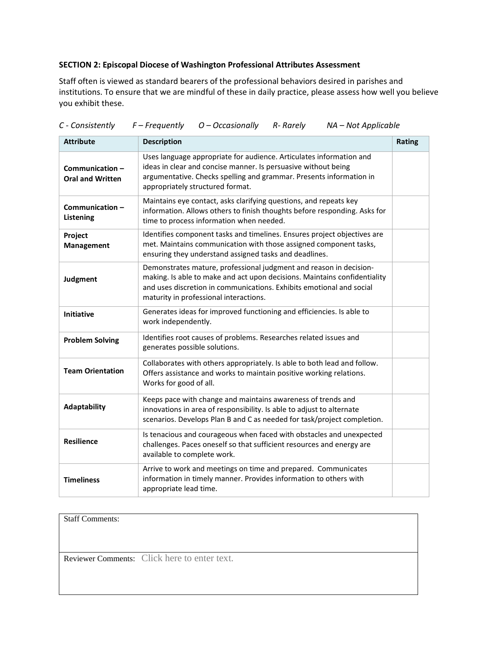## **SECTION 2: Episcopal Diocese of Washington Professional Attributes Assessment**

Staff often is viewed as standard bearers of the professional behaviors desired in parishes and institutions. To ensure that we are mindful of these in daily practice, please assess how well you believe you exhibit these.

| <b>Attribute</b>                          | <b>Description</b>                                                                                                                                                                                                                                                | <b>Rating</b> |
|-------------------------------------------|-------------------------------------------------------------------------------------------------------------------------------------------------------------------------------------------------------------------------------------------------------------------|---------------|
| Communication-<br><b>Oral and Written</b> | Uses language appropriate for audience. Articulates information and<br>ideas in clear and concise manner. Is persuasive without being<br>argumentative. Checks spelling and grammar. Presents information in<br>appropriately structured format.                  |               |
| Communication-<br>Listening               | Maintains eye contact, asks clarifying questions, and repeats key<br>information. Allows others to finish thoughts before responding. Asks for<br>time to process information when needed.                                                                        |               |
| Project<br>Management                     | Identifies component tasks and timelines. Ensures project objectives are<br>met. Maintains communication with those assigned component tasks,<br>ensuring they understand assigned tasks and deadlines.                                                           |               |
| Judgment                                  | Demonstrates mature, professional judgment and reason in decision-<br>making. Is able to make and act upon decisions. Maintains confidentiality<br>and uses discretion in communications. Exhibits emotional and social<br>maturity in professional interactions. |               |
| Initiative                                | Generates ideas for improved functioning and efficiencies. Is able to<br>work independently.                                                                                                                                                                      |               |
| <b>Problem Solving</b>                    | Identifies root causes of problems. Researches related issues and<br>generates possible solutions.                                                                                                                                                                |               |
| <b>Team Orientation</b>                   | Collaborates with others appropriately. Is able to both lead and follow.<br>Offers assistance and works to maintain positive working relations.<br>Works for good of all.                                                                                         |               |
| <b>Adaptability</b>                       | Keeps pace with change and maintains awareness of trends and<br>innovations in area of responsibility. Is able to adjust to alternate<br>scenarios. Develops Plan B and C as needed for task/project completion.                                                  |               |
| <b>Resilience</b>                         | Is tenacious and courageous when faced with obstacles and unexpected<br>challenges. Paces oneself so that sufficient resources and energy are<br>available to complete work.                                                                                      |               |
| <b>Timeliness</b>                         | Arrive to work and meetings on time and prepared. Communicates<br>information in timely manner. Provides information to others with<br>appropriate lead time.                                                                                                     |               |

*C - Consistently F – Frequently O – Occasionally R- Rarely NA – Not Applicable*

Staff Comments:

Reviewer Comments: Click here to enter text.